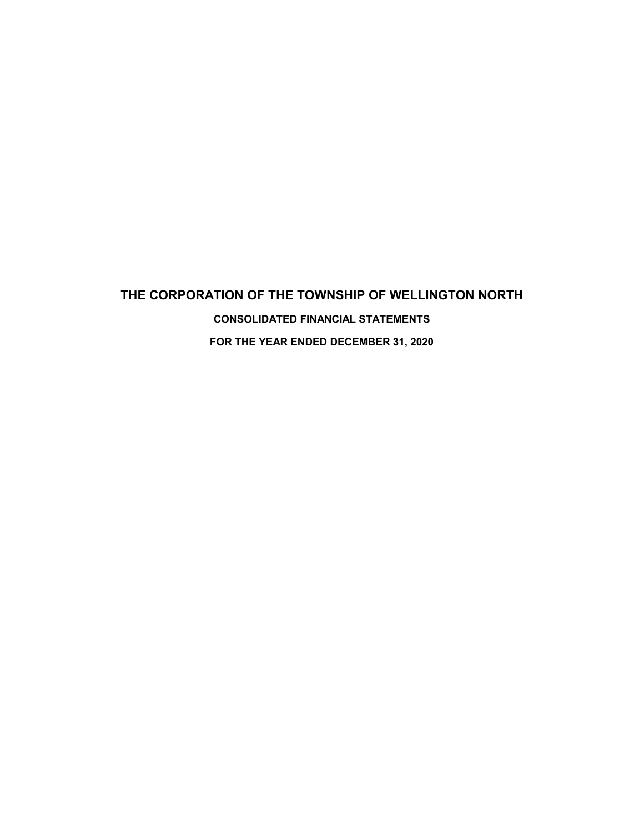# **THE CORPORATION OF THE TOWNSHIP OF WELLINGTON NORTH CONSOLIDATED FINANCIAL STATEMENTS FOR THE YEAR ENDED DECEMBER 31, 2020**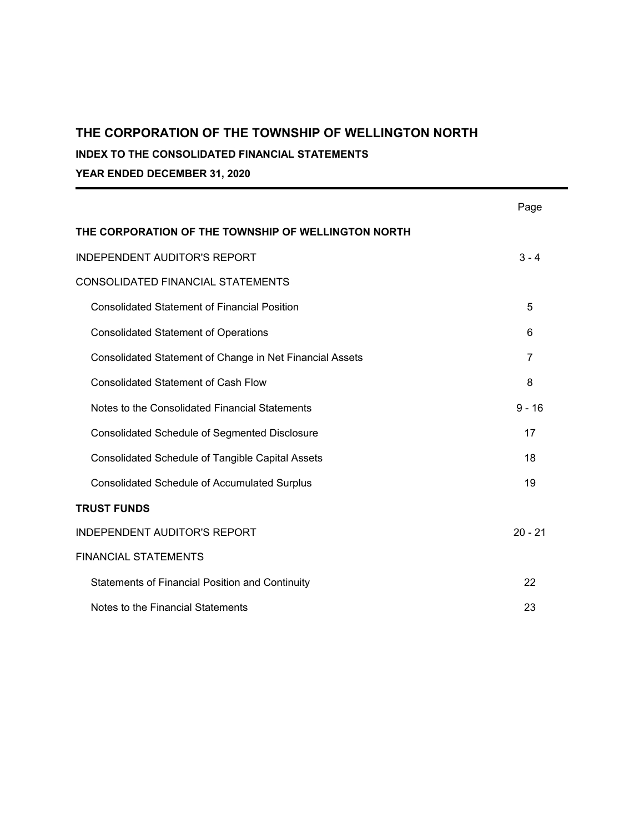**INDEX TO THE CONSOLIDATED FINANCIAL STATEMENTS**

**YEAR ENDED DECEMBER 31, 2020**

|                                                          | Page      |
|----------------------------------------------------------|-----------|
| THE CORPORATION OF THE TOWNSHIP OF WELLINGTON NORTH      |           |
| <b>INDEPENDENT AUDITOR'S REPORT</b>                      | $3 - 4$   |
| CONSOLIDATED FINANCIAL STATEMENTS                        |           |
| <b>Consolidated Statement of Financial Position</b>      | 5         |
| <b>Consolidated Statement of Operations</b>              | 6         |
| Consolidated Statement of Change in Net Financial Assets | 7         |
| <b>Consolidated Statement of Cash Flow</b>               | 8         |
| Notes to the Consolidated Financial Statements           | $9 - 16$  |
| <b>Consolidated Schedule of Segmented Disclosure</b>     | 17        |
| <b>Consolidated Schedule of Tangible Capital Assets</b>  | 18        |
| <b>Consolidated Schedule of Accumulated Surplus</b>      | 19        |
| <b>TRUST FUNDS</b>                                       |           |
| <b>INDEPENDENT AUDITOR'S REPORT</b>                      | $20 - 21$ |
| <b>FINANCIAL STATEMENTS</b>                              |           |
| <b>Statements of Financial Position and Continuity</b>   | 22        |
| Notes to the Financial Statements                        | 23        |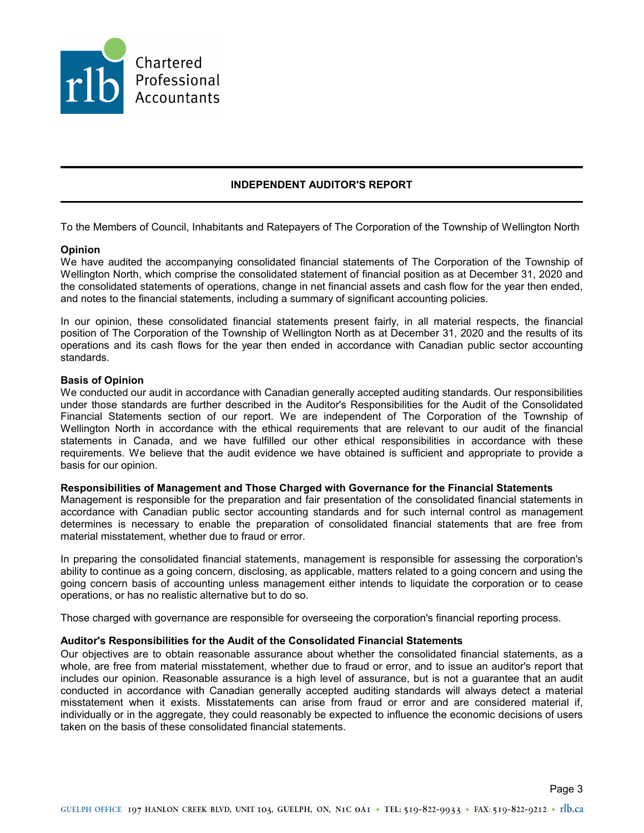

# **INDEPENDENT AUDITOR'S REPORT**

To the Members of Council, Inhabitants and Ratepayers of The Corporation of the Township of Wellington North

#### **Opinion**

We have audited the accompanying consolidated financial statements of The Corporation of the Township of Wellington North, which comprise the consolidated statement of financial position as at December 31, 2020 and the consolidated statements of operations, change in net financial assets and cash flow for the year then ended, and notes to the financial statements, including a summary of significant accounting policies.

In our opinion, these consolidated financial statements present fairly, in all material respects, the financial position of The Corporation of the Township of Wellington North as at December 31, 2020 and the results of its operations and its cash flows for the year then ended in accordance with Canadian public sector accounting standards.

#### **Basis of Opinion**

We conducted our audit in accordance with Canadian generally accepted auditing standards. Our responsibilities under those standards are further described in the Auditor's Responsibilities for the Audit of the Consolidated Financial Statements section of our report. We are independent of The Corporation of the Township of Wellington North in accordance with the ethical requirements that are relevant to our audit of the financial statements in Canada, and we have fulfilled our other ethical responsibilities in accordance with these requirements. We believe that the audit evidence we have obtained is sufficient and appropriate to provide a basis for our opinion.

#### **Responsibilities of Management and Those Charged with Governance for the Financial Statements**

Management is responsible for the preparation and fair presentation of the consolidated financial statements in accordance with Canadian public sector accounting standards and for such internal control as management determines is necessary to enable the preparation of consolidated financial statements that are free from material misstatement, whether due to fraud or error.

In preparing the consolidated financial statements, management is responsible for assessing the corporation's ability to continue as a going concern, disclosing, as applicable, matters related to a going concern and using the going concern basis of accounting unless management either intends to liquidate the corporation or to cease operations, or has no realistic alternative but to do so.

Those charged with governance are responsible for overseeing the corporation's financial reporting process.

#### **Auditor's Responsibilities for the Audit of the Consolidated Financial Statements**

Our objectives are to obtain reasonable assurance about whether the consolidated financial statements, as a whole, are free from material misstatement, whether due to fraud or error, and to issue an auditor's report that includes our opinion. Reasonable assurance is a high level of assurance, but is not a guarantee that an audit conducted in accordance with Canadian generally accepted auditing standards will always detect a material misstatement when it exists. Misstatements can arise from fraud or error and are considered material if, individually or in the aggregate, they could reasonably be expected to influence the economic decisions of users taken on the basis of these consolidated financial statements.

Page 3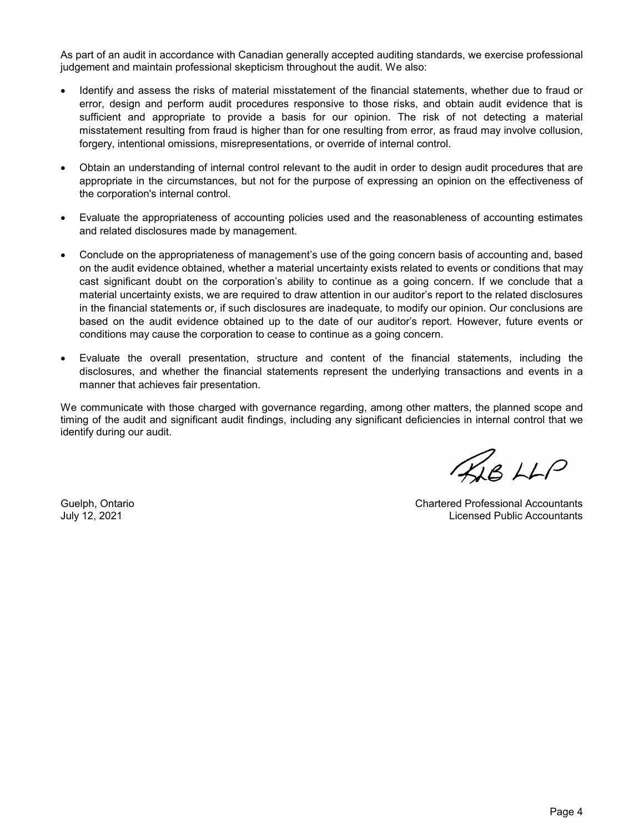As part of an audit in accordance with Canadian generally accepted auditing standards, we exercise professional judgement and maintain professional skepticism throughout the audit. We also:

- Identify and assess the risks of material misstatement of the financial statements, whether due to fraud or error, design and perform audit procedures responsive to those risks, and obtain audit evidence that is sufficient and appropriate to provide a basis for our opinion. The risk of not detecting a material misstatement resulting from fraud is higher than for one resulting from error, as fraud may involve collusion, forgery, intentional omissions, misrepresentations, or override of internal control.
- Obtain an understanding of internal control relevant to the audit in order to design audit procedures that are appropriate in the circumstances, but not for the purpose of expressing an opinion on the effectiveness of the corporation's internal control.
- Evaluate the appropriateness of accounting policies used and the reasonableness of accounting estimates and related disclosures made by management.
- Conclude on the appropriateness of management's use of the going concern basis of accounting and, based on the audit evidence obtained, whether a material uncertainty exists related to events or conditions that may cast significant doubt on the corporation's ability to continue as a going concern. If we conclude that a material uncertainty exists, we are required to draw attention in our auditor's report to the related disclosures in the financial statements or, if such disclosures are inadequate, to modify our opinion. Our conclusions are based on the audit evidence obtained up to the date of our auditor's report. However, future events or conditions may cause the corporation to cease to continue as a going concern.
- Evaluate the overall presentation, structure and content of the financial statements, including the disclosures, and whether the financial statements represent the underlying transactions and events in a manner that achieves fair presentation.

We communicate with those charged with governance regarding, among other matters, the planned scope and timing of the audit and significant audit findings, including any significant deficiencies in internal control that we identify during our audit.

KAB LLP

Guelph, Ontario Chartered Professional Accountants July 12, 2021 Licensed Public Accountants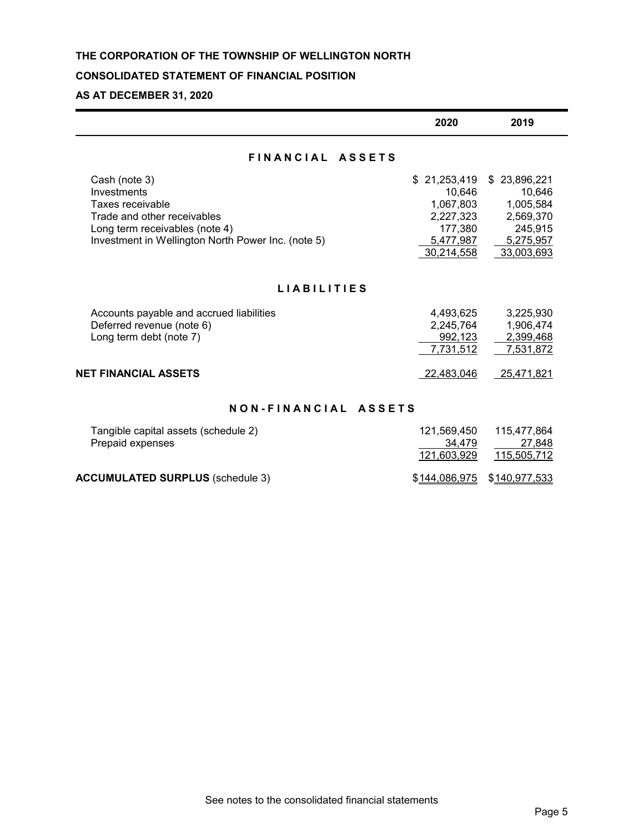# **CONSOLIDATED STATEMENT OF FINANCIAL POSITION**

## **AS AT DECEMBER 31, 2020**

|                                                                                                                                                                         | 2020                                                                                   | 2019                                                                                   |  |  |  |  |  |
|-------------------------------------------------------------------------------------------------------------------------------------------------------------------------|----------------------------------------------------------------------------------------|----------------------------------------------------------------------------------------|--|--|--|--|--|
| FINANCIAL ASSETS                                                                                                                                                        |                                                                                        |                                                                                        |  |  |  |  |  |
| Cash (note 3)<br>Investments<br>Taxes receivable<br>Trade and other receivables<br>Long term receivables (note 4)<br>Investment in Wellington North Power Inc. (note 5) | \$21,253,419<br>10,646<br>1,067,803<br>2,227,323<br>177,380<br>5,477,987<br>30,214,558 | \$23,896,221<br>10,646<br>1,005,584<br>2,569,370<br>245,915<br>5,275,957<br>33,003,693 |  |  |  |  |  |
| <b>LIABILITIES</b>                                                                                                                                                      |                                                                                        |                                                                                        |  |  |  |  |  |
| Accounts payable and accrued liabilities<br>Deferred revenue (note 6)<br>Long term debt (note 7)                                                                        | 4,493,625<br>2,245,764<br>992,123<br>7,731,512                                         | 3,225,930<br>1,906,474<br>2,399,468<br>7,531,872                                       |  |  |  |  |  |
| <b>NET FINANCIAL ASSETS</b>                                                                                                                                             | 22,483,046                                                                             | 25,471,821                                                                             |  |  |  |  |  |
| NON-FINANCIAL ASSETS                                                                                                                                                    |                                                                                        |                                                                                        |  |  |  |  |  |
| Tangible capital assets (schedule 2)<br>Prepaid expenses                                                                                                                | 121,569,450<br>34,479<br>121,603,929                                                   | 115,477,864<br>27.848<br>115,505,712                                                   |  |  |  |  |  |

**ACCUMULATED SURPLUS** (schedule 3)  $$144,086,975$  \$140,977,533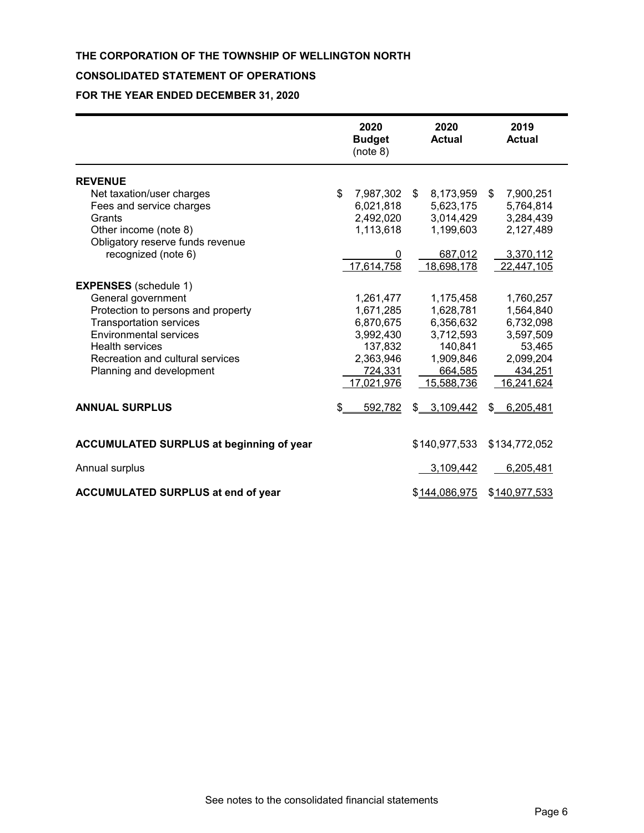# **CONSOLIDATED STATEMENT OF OPERATIONS**

**FOR THE YEAR ENDED DECEMBER 31, 2020**

|                                                 | 2020<br><b>Budget</b><br>(note 8) | 2020<br><b>Actual</b> | 2019<br><b>Actual</b> |
|-------------------------------------------------|-----------------------------------|-----------------------|-----------------------|
| <b>REVENUE</b>                                  |                                   |                       |                       |
| Net taxation/user charges                       | \$<br>7,987,302                   | \$<br>8,173,959       | \$<br>7,900,251       |
| Fees and service charges                        | 6,021,818                         | 5,623,175             | 5,764,814             |
| Grants                                          | 2,492,020                         | 3,014,429             | 3,284,439             |
| Other income (note 8)                           | 1,113,618                         | 1,199,603             | 2,127,489             |
| Obligatory reserve funds revenue                |                                   |                       |                       |
| recognized (note 6)                             | 0                                 | 687,012               | 3,370,112             |
|                                                 | 17,614,758                        | 18,698,178            | 22,447,105            |
| <b>EXPENSES</b> (schedule 1)                    |                                   |                       |                       |
| General government                              | 1,261,477                         | 1,175,458             | 1,760,257             |
| Protection to persons and property              | 1,671,285                         | 1,628,781             | 1,564,840             |
| <b>Transportation services</b>                  | 6,870,675                         | 6,356,632             | 6,732,098             |
| <b>Environmental services</b>                   | 3,992,430                         | 3,712,593             | 3,597,509             |
| <b>Health services</b>                          | 137,832                           | 140,841               | 53,465                |
| Recreation and cultural services                | 2,363,946                         | 1,909,846             | 2,099,204             |
| Planning and development                        | 724,331                           | 664,585               | 434,251               |
|                                                 | 17,021,976                        | 15,588,736            | 16,241,624            |
| <b>ANNUAL SURPLUS</b>                           | \$<br>592,782                     | \$<br>3,109,442       | \$<br>6,205,481       |
| <b>ACCUMULATED SURPLUS at beginning of year</b> |                                   | \$140,977,533         | \$134,772,052         |
| Annual surplus                                  |                                   | 3,109,442             | 6,205,481             |
| <b>ACCUMULATED SURPLUS at end of year</b>       |                                   | \$144,086,975         | \$140,977,533         |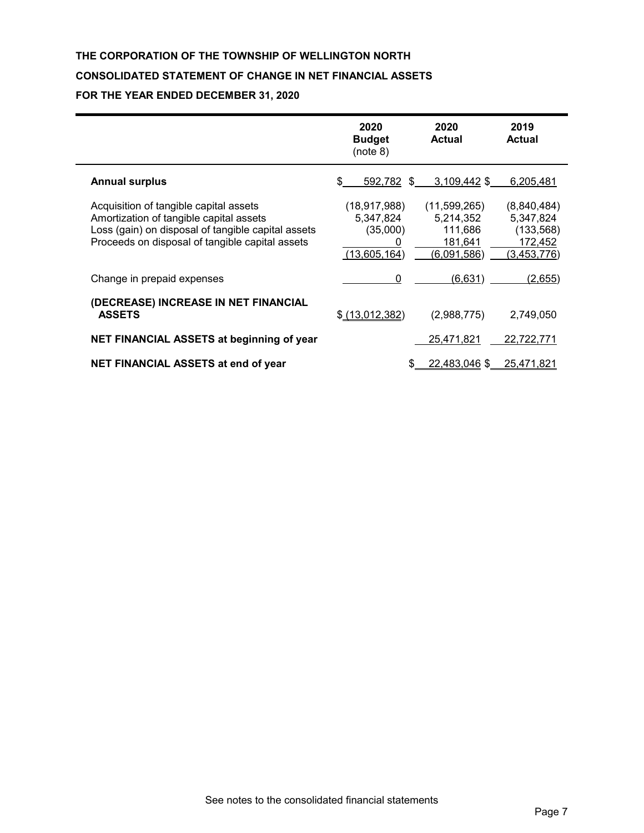# **THE CORPORATION OF THE TOWNSHIP OF WELLINGTON NORTH CONSOLIDATED STATEMENT OF CHANGE IN NET FINANCIAL ASSETS FOR THE YEAR ENDED DECEMBER 31, 2020**

|                                                                                                                                                                                            | 2020<br><b>Budget</b><br>(note 8)                       | 2020<br><b>Actual</b>                                          | 2019<br><b>Actual</b>                                            |
|--------------------------------------------------------------------------------------------------------------------------------------------------------------------------------------------|---------------------------------------------------------|----------------------------------------------------------------|------------------------------------------------------------------|
| <b>Annual surplus</b>                                                                                                                                                                      | \$.<br>592,782<br>\$                                    | 3,109,442 \$                                                   | 6,205,481                                                        |
| Acquisition of tangible capital assets<br>Amortization of tangible capital assets<br>Loss (gain) on disposal of tangible capital assets<br>Proceeds on disposal of tangible capital assets | (18, 917, 988)<br>5,347,824<br>(35,000)<br>(13,605,164) | (11,599,265)<br>5,214,352<br>111,686<br>181,641<br>(6,091,586) | (8,840,484)<br>5,347,824<br>(133, 568)<br>172,452<br>(3,453,776) |
| Change in prepaid expenses                                                                                                                                                                 | $\Omega$                                                | (6, 631)                                                       | (2,655)                                                          |
| (DECREASE) INCREASE IN NET FINANCIAL<br><b>ASSETS</b>                                                                                                                                      | \$ (13,012,382)                                         | (2,988,775)                                                    | 2,749,050                                                        |
| NET FINANCIAL ASSETS at beginning of year                                                                                                                                                  |                                                         | 25,471,821                                                     | 22,722,771                                                       |
| <b>NET FINANCIAL ASSETS at end of year</b>                                                                                                                                                 |                                                         | 22,483,046 \$                                                  | 25,471,821                                                       |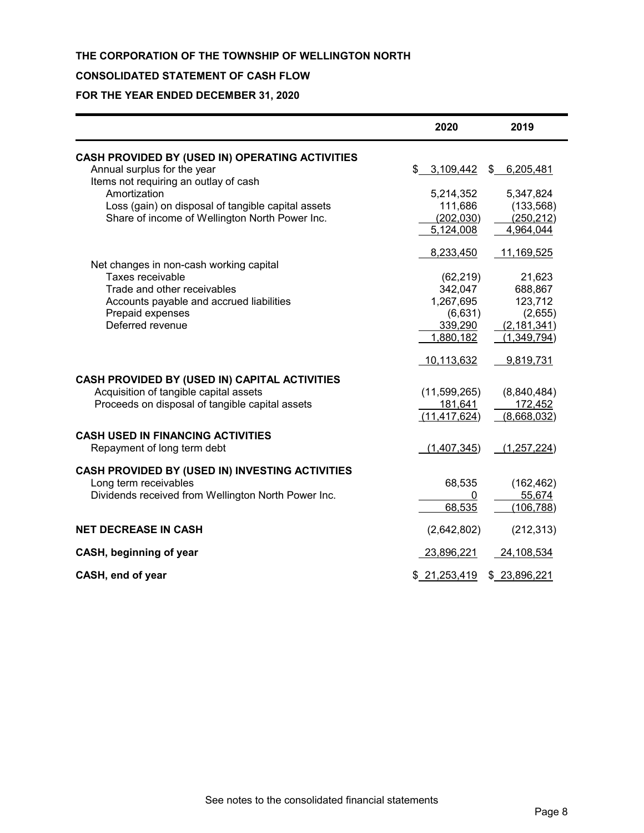# **CONSOLIDATED STATEMENT OF CASH FLOW**

# **FOR THE YEAR ENDED DECEMBER 31, 2020**

|                                                                                                                                                                                | 2020                                                                              | 2019                                                                                  |
|--------------------------------------------------------------------------------------------------------------------------------------------------------------------------------|-----------------------------------------------------------------------------------|---------------------------------------------------------------------------------------|
| CASH PROVIDED BY (USED IN) OPERATING ACTIVITIES<br>Annual surplus for the year<br>Items not requiring an outlay of cash<br>Amortization                                        | 3,109,442<br>\$<br>5,214,352                                                      | 6,205,481<br>\$<br>5,347,824                                                          |
| Loss (gain) on disposal of tangible capital assets<br>Share of income of Wellington North Power Inc.                                                                           | 111,686<br>(202, 030)<br>5,124,008                                                | (133, 568)<br>(250, 212)<br>4,964,044                                                 |
| Net changes in non-cash working capital<br>Taxes receivable<br>Trade and other receivables<br>Accounts payable and accrued liabilities<br>Prepaid expenses<br>Deferred revenue | 8,233,450<br>(62, 219)<br>342,047<br>1,267,695<br>(6,631)<br>339,290<br>1,880,182 | 11,169,525<br>21,623<br>688,867<br>123,712<br>(2,655)<br>(2, 181, 341)<br>(1,349,794) |
| CASH PROVIDED BY (USED IN) CAPITAL ACTIVITIES<br>Acquisition of tangible capital assets<br>Proceeds on disposal of tangible capital assets                                     | 10,113,632<br>(11,599,265)<br>181,641<br>(11, 417, 624)                           | 9,819,731<br>(8,840,484)<br>172,452<br>(8,668,032)                                    |
| <b>CASH USED IN FINANCING ACTIVITIES</b><br>Repayment of long term debt                                                                                                        | (1,407,345)                                                                       | (1,257,224)                                                                           |
| CASH PROVIDED BY (USED IN) INVESTING ACTIVITIES<br>Long term receivables<br>Dividends received from Wellington North Power Inc.                                                | 68,535<br>0<br>68,535                                                             | (162, 462)<br>55,674<br>(106, 788)                                                    |
| <b>NET DECREASE IN CASH</b>                                                                                                                                                    | (2,642,802)                                                                       | (212, 313)                                                                            |
| CASH, beginning of year                                                                                                                                                        | 23,896,221                                                                        | 24,108,534                                                                            |
| CASH, end of year                                                                                                                                                              | \$ 21,253,419                                                                     | \$23,896,221                                                                          |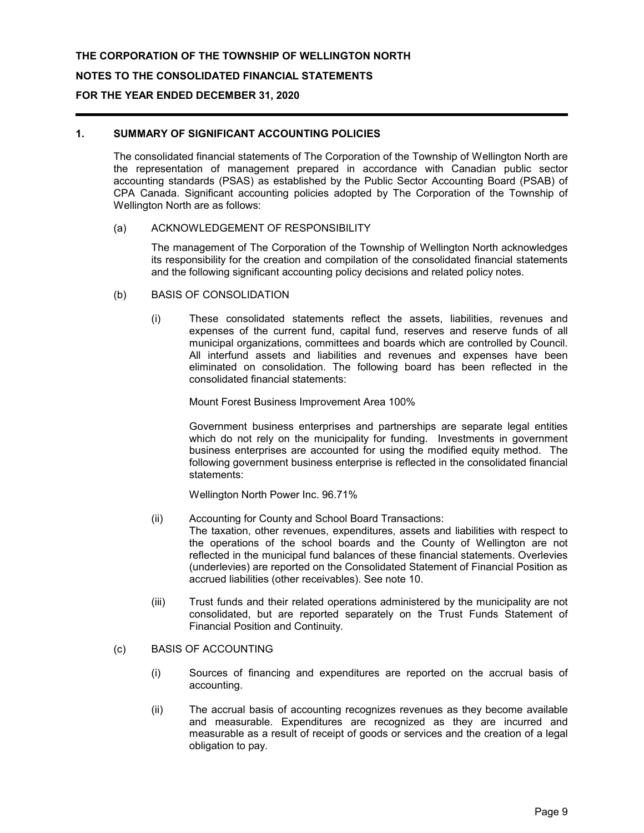# **THE CORPORATION OF THE TOWNSHIP OF WELLINGTON NORTH NOTES TO THE CONSOLIDATED FINANCIAL STATEMENTS FOR THE YEAR ENDED DECEMBER 31, 2020**

## **1. SUMMARY OF SIGNIFICANT ACCOUNTING POLICIES**

The consolidated financial statements of The Corporation of the Township of Wellington North are the representation of management prepared in accordance with Canadian public sector accounting standards (PSAS) as established by the Public Sector Accounting Board (PSAB) of CPA Canada. Significant accounting policies adopted by The Corporation of the Township of Wellington North are as follows:

#### (a) ACKNOWLEDGEMENT OF RESPONSIBILITY

The management of The Corporation of the Township of Wellington North acknowledges its responsibility for the creation and compilation of the consolidated financial statements and the following significant accounting policy decisions and related policy notes.

- (b) BASIS OF CONSOLIDATION
	- (i) These consolidated statements reflect the assets, liabilities, revenues and expenses of the current fund, capital fund, reserves and reserve funds of all municipal organizations, committees and boards which are controlled by Council. All interfund assets and liabilities and revenues and expenses have been eliminated on consolidation. The following board has been reflected in the consolidated financial statements:

Mount Forest Business Improvement Area 100%

Government business enterprises and partnerships are separate legal entities which do not rely on the municipality for funding. Investments in government business enterprises are accounted for using the modified equity method. The following government business enterprise is reflected in the consolidated financial statements:

Wellington North Power Inc. 96.71%

(ii) Accounting for County and School Board Transactions:

The taxation, other revenues, expenditures, assets and liabilities with respect to the operations of the school boards and the County of Wellington are not reflected in the municipal fund balances of these financial statements. Overlevies (underlevies) are reported on the Consolidated Statement of Financial Position as accrued liabilities (other receivables). See note 10.

- (iii) Trust funds and their related operations administered by the municipality are not consolidated, but are reported separately on the Trust Funds Statement of Financial Position and Continuity.
- (c) BASIS OF ACCOUNTING
	- (i) Sources of financing and expenditures are reported on the accrual basis of accounting.
	- (ii) The accrual basis of accounting recognizes revenues as they become available and measurable. Expenditures are recognized as they are incurred and measurable as a result of receipt of goods or services and the creation of a legal obligation to pay.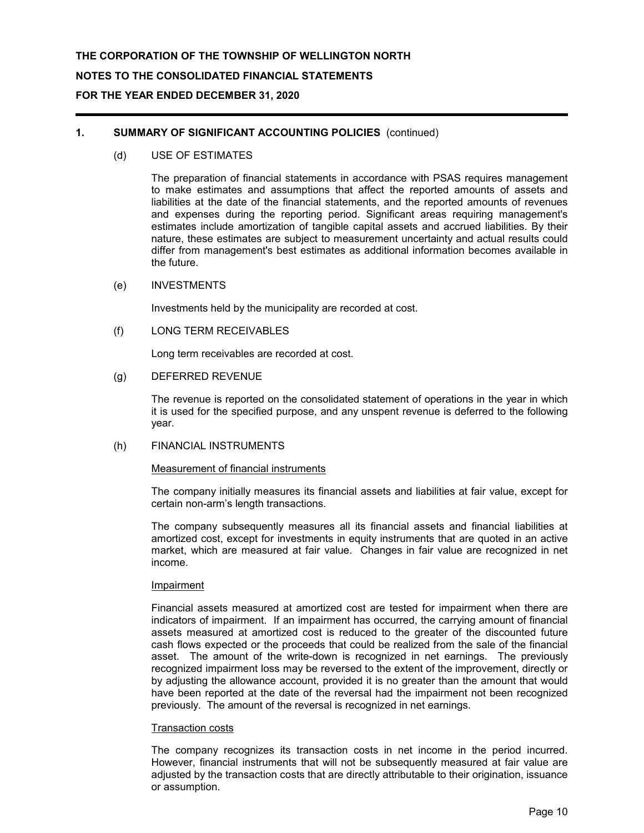# **THE CORPORATION OF THE TOWNSHIP OF WELLINGTON NORTH NOTES TO THE CONSOLIDATED FINANCIAL STATEMENTS FOR THE YEAR ENDED DECEMBER 31, 2020**

## **1. SUMMARY OF SIGNIFICANT ACCOUNTING POLICIES** (continued)

(d) USE OF ESTIMATES

The preparation of financial statements in accordance with PSAS requires management to make estimates and assumptions that affect the reported amounts of assets and liabilities at the date of the financial statements, and the reported amounts of revenues and expenses during the reporting period. Significant areas requiring management's estimates include amortization of tangible capital assets and accrued liabilities. By their nature, these estimates are subject to measurement uncertainty and actual results could differ from management's best estimates as additional information becomes available in the future.

#### (e) INVESTMENTS

Investments held by the municipality are recorded at cost.

(f) LONG TERM RECEIVABLES

Long term receivables are recorded at cost.

#### (g) DEFERRED REVENUE

The revenue is reported on the consolidated statement of operations in the year in which it is used for the specified purpose, and any unspent revenue is deferred to the following year.

## (h) FINANCIAL INSTRUMENTS

#### Measurement of financial instruments

The company initially measures its financial assets and liabilities at fair value, except for certain non-arm's length transactions.

The company subsequently measures all its financial assets and financial liabilities at amortized cost, except for investments in equity instruments that are quoted in an active market, which are measured at fair value. Changes in fair value are recognized in net income.

#### Impairment

Financial assets measured at amortized cost are tested for impairment when there are indicators of impairment. If an impairment has occurred, the carrying amount of financial assets measured at amortized cost is reduced to the greater of the discounted future cash flows expected or the proceeds that could be realized from the sale of the financial asset. The amount of the write-down is recognized in net earnings. The previously recognized impairment loss may be reversed to the extent of the improvement, directly or by adjusting the allowance account, provided it is no greater than the amount that would have been reported at the date of the reversal had the impairment not been recognized previously. The amount of the reversal is recognized in net earnings.

#### Transaction costs

The company recognizes its transaction costs in net income in the period incurred. However, financial instruments that will not be subsequently measured at fair value are adjusted by the transaction costs that are directly attributable to their origination, issuance or assumption.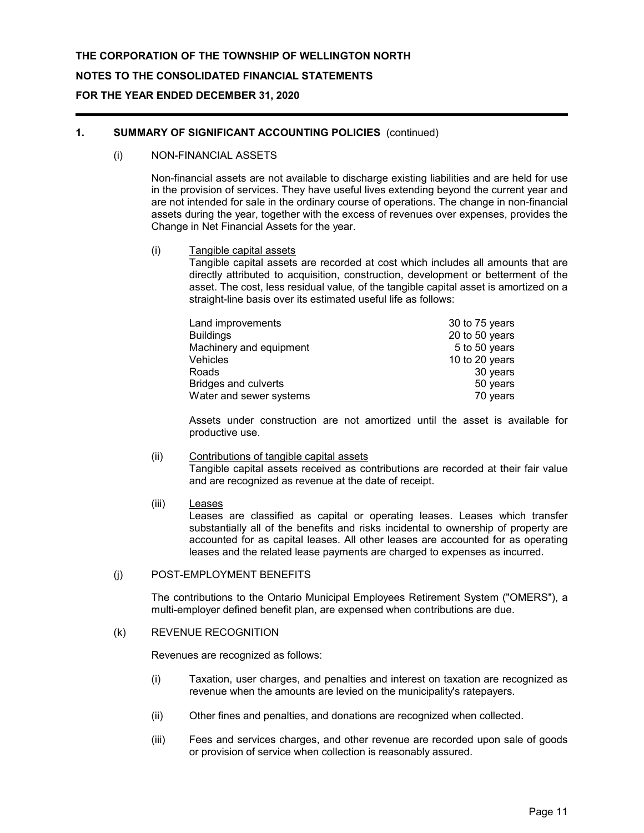## **1. SUMMARY OF SIGNIFICANT ACCOUNTING POLICIES** (continued)

#### (i) NON-FINANCIAL ASSETS

Non-financial assets are not available to discharge existing liabilities and are held for use in the provision of services. They have useful lives extending beyond the current year and are not intended for sale in the ordinary course of operations. The change in non-financial assets during the year, together with the excess of revenues over expenses, provides the Change in Net Financial Assets for the year.

#### (i) Tangible capital assets

Tangible capital assets are recorded at cost which includes all amounts that are directly attributed to acquisition, construction, development or betterment of the asset. The cost, less residual value, of the tangible capital asset is amortized on a straight-line basis over its estimated useful life as follows:

| Land improvements           | 30 to 75 years |
|-----------------------------|----------------|
| <b>Buildings</b>            | 20 to 50 years |
| Machinery and equipment     | 5 to 50 years  |
| <b>Vehicles</b>             | 10 to 20 years |
| Roads                       | 30 years       |
| <b>Bridges and culverts</b> | 50 years       |
| Water and sewer systems     | 70 years       |

Assets under construction are not amortized until the asset is available for productive use.

# (ii) Contributions of tangible capital assets

Tangible capital assets received as contributions are recorded at their fair value and are recognized as revenue at the date of receipt.

(iii) Leases

Leases are classified as capital or operating leases. Leases which transfer substantially all of the benefits and risks incidental to ownership of property are accounted for as capital leases. All other leases are accounted for as operating leases and the related lease payments are charged to expenses as incurred.

#### (j) POST-EMPLOYMENT BENEFITS

The contributions to the Ontario Municipal Employees Retirement System ("OMERS"), a multi-employer defined benefit plan, are expensed when contributions are due.

#### (k) REVENUE RECOGNITION

Revenues are recognized as follows:

- (i) Taxation, user charges, and penalties and interest on taxation are recognized as revenue when the amounts are levied on the municipality's ratepayers.
- (ii) Other fines and penalties, and donations are recognized when collected.
- (iii) Fees and services charges, and other revenue are recorded upon sale of goods or provision of service when collection is reasonably assured.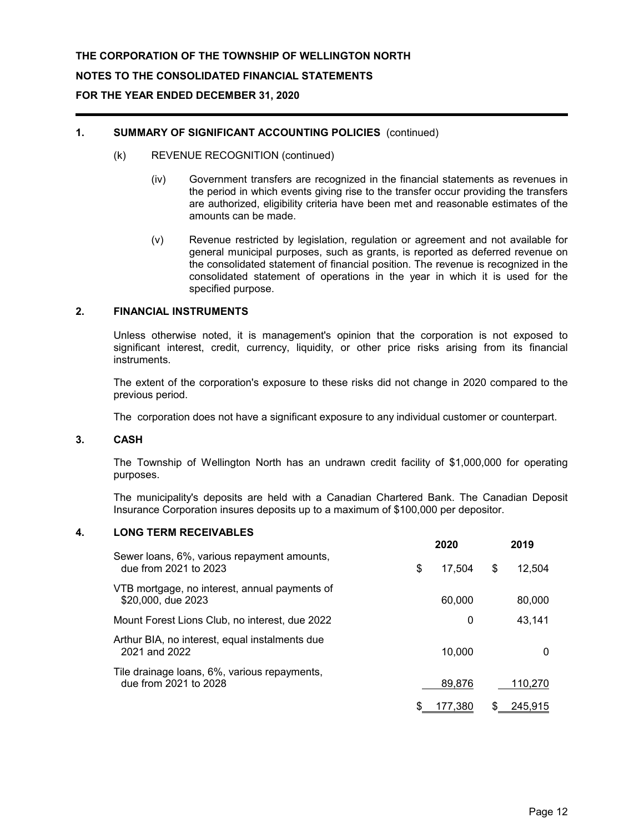## **1. SUMMARY OF SIGNIFICANT ACCOUNTING POLICIES** (continued)

- (k) REVENUE RECOGNITION (continued)
	- (iv) Government transfers are recognized in the financial statements as revenues in the period in which events giving rise to the transfer occur providing the transfers are authorized, eligibility criteria have been met and reasonable estimates of the amounts can be made.
	- (v) Revenue restricted by legislation, regulation or agreement and not available for general municipal purposes, such as grants, is reported as deferred revenue on the consolidated statement of financial position. The revenue is recognized in the consolidated statement of operations in the year in which it is used for the specified purpose.

#### **2. FINANCIAL INSTRUMENTS**

Unless otherwise noted, it is management's opinion that the corporation is not exposed to significant interest, credit, currency, liquidity, or other price risks arising from its financial instruments.

The extent of the corporation's exposure to these risks did not change in 2020 compared to the previous period.

The corporation does not have a significant exposure to any individual customer or counterpart.

### **3. CASH**

The Township of Wellington North has an undrawn credit facility of \$1,000,000 for operating purposes.

The municipality's deposits are held with a Canadian Chartered Bank. The Canadian Deposit Insurance Corporation insures deposits up to a maximum of \$100,000 per depositor.

## **4. LONG TERM RECEIVABLES**

|                                                                       | 2020         |   | 2019    |
|-----------------------------------------------------------------------|--------------|---|---------|
| Sewer loans, 6%, various repayment amounts,<br>due from 2021 to 2023  | \$<br>17.504 | S | 12.504  |
| VTB mortgage, no interest, annual payments of<br>\$20,000, due 2023   | 60,000       |   | 80,000  |
| Mount Forest Lions Club, no interest, due 2022                        | 0            |   | 43.141  |
| Arthur BIA, no interest, equal instalments due<br>2021 and 2022       | 10.000       |   | 0       |
| Tile drainage loans, 6%, various repayments,<br>due from 2021 to 2028 | 89.876       |   | 110.270 |
|                                                                       | 177.380      |   | 245.915 |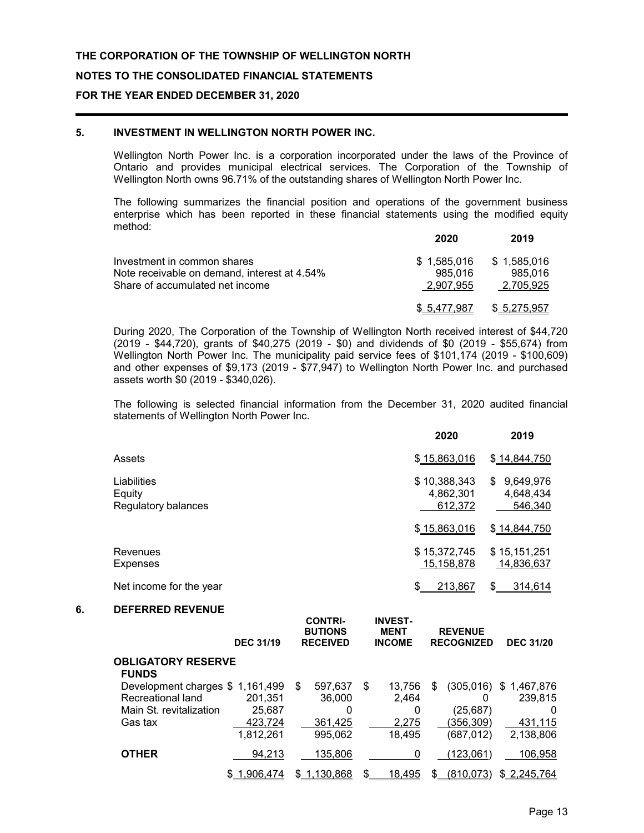## **5. INVESTMENT IN WELLINGTON NORTH POWER INC.**

Wellington North Power Inc. is a corporation incorporated under the laws of the Province of Ontario and provides municipal electrical services. The Corporation of the Township of Wellington North owns 96.71% of the outstanding shares of Wellington North Power Inc.

The following summarizes the financial position and operations of the government business enterprise which has been reported in these financial statements using the modified equity method: **2020 2019**

|                                                                                 | ----                    | ----                      |
|---------------------------------------------------------------------------------|-------------------------|---------------------------|
| Investment in common shares                                                     |                         | $$1.585.016$ $$1.585.016$ |
| Note receivable on demand, interest at 4.54%<br>Share of accumulated net income | 985.016<br>2.907.955    | 985.016<br>2.705.925      |
|                                                                                 | \$5,477,987 \$5,275,957 |                           |

During 2020, The Corporation of the Township of Wellington North received interest of \$44,720 (2019 - \$44,720), grants of \$40,275 (2019 - \$0) and dividends of \$0 (2019 - \$55,674) from Wellington North Power Inc. The municipality paid service fees of \$101,174 (2019 - \$100,609) and other expenses of \$9,173 (2019 - \$77,947) to Wellington North Power Inc. and purchased assets worth \$0 (2019 - \$340,026).

The following is selected financial information from the December 31, 2020 audited financial statements of Wellington North Power Inc.

|                                              | 2020                                 | 2019                                   |
|----------------------------------------------|--------------------------------------|----------------------------------------|
| Assets                                       | \$15,863,016                         | \$14,844,750                           |
| Liabilities<br>Equity<br>Regulatory balances | \$10,388,343<br>4,862,301<br>612,372 | 9,649,976<br>S<br>4,648,434<br>546,340 |
|                                              | \$15,863,016                         | \$14,844,750                           |
| Revenues<br>Expenses                         | \$15,372,745<br>15,158,878           | \$15,151,251<br>14,836,637             |
| Net income for the year                      | 213,867<br>\$                        | \$<br>314,614                          |

### **6. DEFERRED REVENUE**

|                                           | <b>DEC 31/19</b> |   | <b>CONTRI-</b><br><b>BUTIONS</b><br><b>RECEIVED</b> | <b>INVEST-</b><br><b>MENT</b><br><b>INCOME</b> |    | <b>REVENUE</b><br><b>RECOGNIZED</b> | <b>DEC 31/20</b> |
|-------------------------------------------|------------------|---|-----------------------------------------------------|------------------------------------------------|----|-------------------------------------|------------------|
| <b>OBLIGATORY RESERVE</b><br><b>FUNDS</b> |                  |   |                                                     |                                                |    |                                     |                  |
| Development charges \$1,161,499           |                  | S | 597,637                                             | \$<br>13,756                                   | \$ | (305, 016)                          | 1,467,876<br>S.  |
| Recreational land                         | 201,351          |   | 36,000                                              | 2.464                                          |    | 0                                   | 239,815          |
| Main St. revitalization                   | 25,687           |   | 0                                                   | $\Omega$                                       |    | (25,687)                            |                  |
| Gas tax                                   | 423,724          |   | 361,425                                             | 2,275                                          |    | (356,309)                           | 431,115          |
|                                           | 1,812,261        |   | 995,062                                             | 18,495                                         |    | (687,012)                           | 2,138,806        |
| <b>OTHER</b>                              | 94,213           |   | 135,806                                             | 0                                              |    | (123,061)                           | 106,958          |
|                                           | \$1.906.474      |   | \$1,130,868                                         | \$<br>18.495                                   | S  | (810, 073)                          | \$2,245,764      |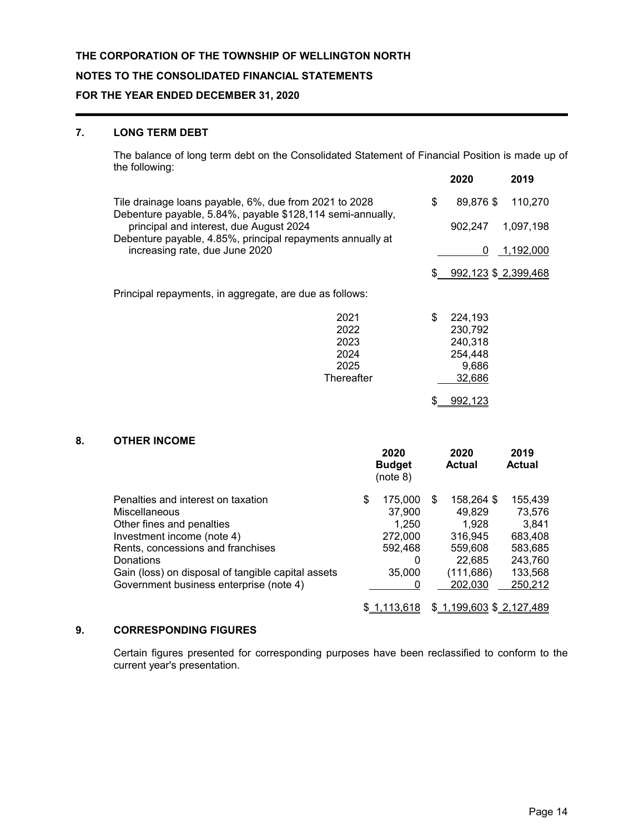# **NOTES TO THE CONSOLIDATED FINANCIAL STATEMENTS**

## **FOR THE YEAR ENDED DECEMBER 31, 2020**

## **7. LONG TERM DEBT**

The balance of long term debt on the Consolidated Statement of Financial Position is made up of the following: **2020 2019**

|                                                                                                                                                                                                                                                                 |            | ZUZU            | 2019                 |
|-----------------------------------------------------------------------------------------------------------------------------------------------------------------------------------------------------------------------------------------------------------------|------------|-----------------|----------------------|
| Tile drainage loans payable, 6%, due from 2021 to 2028<br>Debenture payable, 5.84%, payable \$128,114 semi-annually,<br>principal and interest, due August 2024<br>Debenture payable, 4.85%, principal repayments annually at<br>increasing rate, due June 2020 |            | \$<br>89,876 \$ | 110,270              |
|                                                                                                                                                                                                                                                                 |            | 902,247         | 1,097,198            |
|                                                                                                                                                                                                                                                                 |            | 0               | 1,192,000            |
|                                                                                                                                                                                                                                                                 |            | \$              | 992,123 \$ 2,399,468 |
| Principal repayments, in aggregate, are due as follows:                                                                                                                                                                                                         |            |                 |                      |
|                                                                                                                                                                                                                                                                 | 2021       | \$<br>224,193   |                      |
|                                                                                                                                                                                                                                                                 | 2022       | 230,792         |                      |
|                                                                                                                                                                                                                                                                 | 2023       | 240,318         |                      |
|                                                                                                                                                                                                                                                                 | 2024       | 254,448         |                      |
|                                                                                                                                                                                                                                                                 | 2025       | 9,686           |                      |
|                                                                                                                                                                                                                                                                 | Thereafter | 32,686          |                      |
|                                                                                                                                                                                                                                                                 |            | <u>992,123</u>  |                      |
|                                                                                                                                                                                                                                                                 |            |                 |                      |

# **8. OTHER INCOME**

|                                                    | 2020<br><b>Budget</b><br>(note 8) |   | 2020<br><b>Actual</b> | 2019<br><b>Actual</b>   |
|----------------------------------------------------|-----------------------------------|---|-----------------------|-------------------------|
| Penalties and interest on taxation                 | \$<br>175,000                     | S | 158,264 \$            | 155,439                 |
| Miscellaneous                                      | 37,900                            |   | 49,829                | 73,576                  |
| Other fines and penalties                          | 1.250                             |   | 1.928                 | 3,841                   |
| Investment income (note 4)                         | 272,000                           |   | 316,945               | 683,408                 |
| Rents, concessions and franchises                  | 592,468                           |   | 559,608               | 583,685                 |
| Donations                                          | 0                                 |   | 22,685                | 243,760                 |
| Gain (loss) on disposal of tangible capital assets | 35,000                            |   | (111,686)             | 133,568                 |
| Government business enterprise (note 4)            | O                                 |   | 202,030               | 250,212                 |
|                                                    | \$1,113,618                       |   |                       | \$1,199,603 \$2,127,489 |

## **9. CORRESPONDING FIGURES**

Certain figures presented for corresponding purposes have been reclassified to conform to the current year's presentation.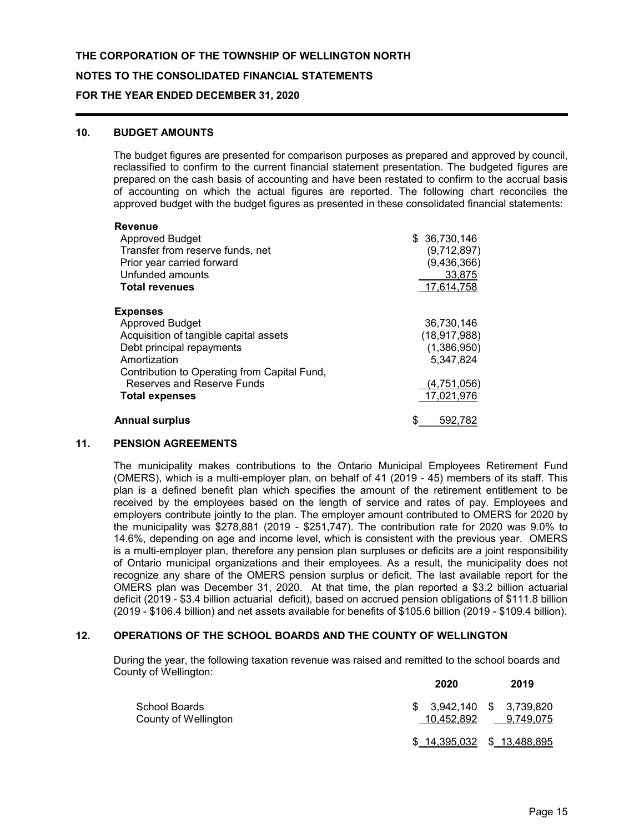## **10. BUDGET AMOUNTS**

The budget figures are presented for comparison purposes as prepared and approved by council, reclassified to confirm to the current financial statement presentation. The budgeted figures are prepared on the cash basis of accounting and have been restated to confirm to the accrual basis of accounting on which the actual figures are reported. The following chart reconciles the approved budget with the budget figures as presented in these consolidated financial statements:

| <b>Revenue</b>                               |                   |
|----------------------------------------------|-------------------|
| <b>Approved Budget</b>                       | \$ 36,730,146     |
| Transfer from reserve funds, net             | (9,712,897)       |
| Prior year carried forward                   | (9,436,366)       |
| Unfunded amounts                             | 33,875            |
| <b>Total revenues</b>                        | <u>17,614,758</u> |
| <b>Expenses</b>                              |                   |
| <b>Approved Budget</b>                       | 36,730,146        |
| Acquisition of tangible capital assets       | (18, 917, 988)    |
| Debt principal repayments                    | (1,386,950)       |
| Amortization                                 | 5,347,824         |
| Contribution to Operating from Capital Fund, |                   |
| Reserves and Reserve Funds                   | (4,751,056)       |
| <b>Total expenses</b>                        | 17,021,976        |
| <b>Annual surplus</b>                        | 592,782           |

#### **11. PENSION AGREEMENTS**

The municipality makes contributions to the Ontario Municipal Employees Retirement Fund (OMERS), which is a multi-employer plan, on behalf of 41 (2019 - 45) members of its staff. This plan is a defined benefit plan which specifies the amount of the retirement entitlement to be received by the employees based on the length of service and rates of pay. Employees and employers contribute jointly to the plan. The employer amount contributed to OMERS for 2020 by the municipality was \$278,881 (2019 - \$251,747). The contribution rate for 2020 was 9.0% to 14.6%, depending on age and income level, which is consistent with the previous year. OMERS is a multi-employer plan, therefore any pension plan surpluses or deficits are a joint responsibility of Ontario municipal organizations and their employees. As a result, the municipality does not recognize any share of the OMERS pension surplus or deficit. The last available report for the OMERS plan was December 31, 2020. At that time, the plan reported a \$3.2 billion actuarial deficit (2019 - \$3.4 billion actuarial deficit), based on accrued pension obligations of \$111.8 billion (2019 - \$106.4 billion) and net assets available for benefits of \$105.6 billion (2019 - \$109.4 billion).

### **12. OPERATIONS OF THE SCHOOL BOARDS AND THE COUNTY OF WELLINGTON**

During the year, the following taxation revenue was raised and remitted to the school boards and County of Wellington:

|                                       | 2020       | 2019                                   |
|---------------------------------------|------------|----------------------------------------|
| School Boards<br>County of Wellington | 10.452.892 | $$3,942,140$ $$3,739,820$<br>9,749,075 |
|                                       |            | \$ 14,395,032 \$ 13,488,895            |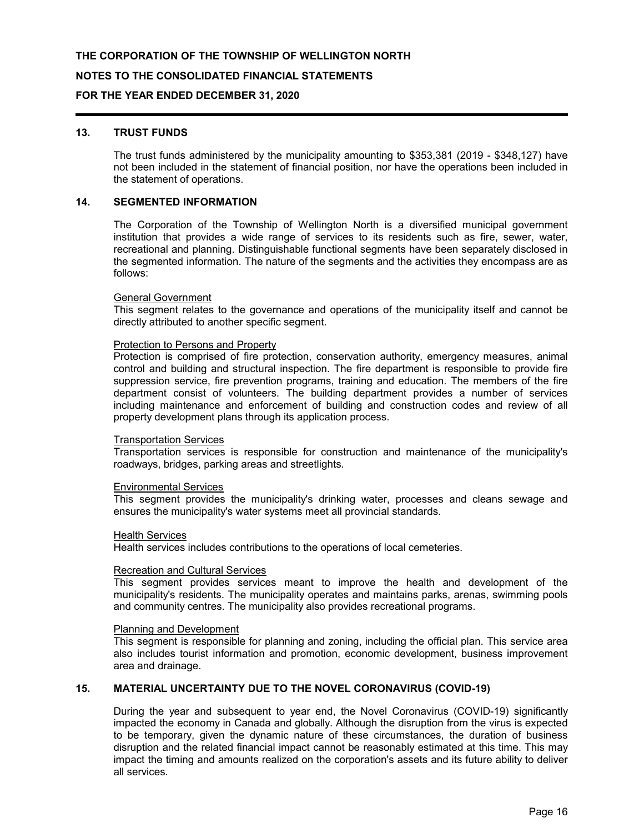## **NOTES TO THE CONSOLIDATED FINANCIAL STATEMENTS**

#### **FOR THE YEAR ENDED DECEMBER 31, 2020**

## **13. TRUST FUNDS**

The trust funds administered by the municipality amounting to \$353,381 (2019 - \$348,127) have not been included in the statement of financial position, nor have the operations been included in the statement of operations.

#### **14. SEGMENTED INFORMATION**

The Corporation of the Township of Wellington North is a diversified municipal government institution that provides a wide range of services to its residents such as fire, sewer, water, recreational and planning. Distinguishable functional segments have been separately disclosed in the segmented information. The nature of the segments and the activities they encompass are as follows:

#### General Government

This segment relates to the governance and operations of the municipality itself and cannot be directly attributed to another specific segment.

#### Protection to Persons and Property

Protection is comprised of fire protection, conservation authority, emergency measures, animal control and building and structural inspection. The fire department is responsible to provide fire suppression service, fire prevention programs, training and education. The members of the fire department consist of volunteers. The building department provides a number of services including maintenance and enforcement of building and construction codes and review of all property development plans through its application process.

#### Transportation Services

Transportation services is responsible for construction and maintenance of the municipality's roadways, bridges, parking areas and streetlights.

#### Environmental Services

This segment provides the municipality's drinking water, processes and cleans sewage and ensures the municipality's water systems meet all provincial standards.

#### Health Services

Health services includes contributions to the operations of local cemeteries.

#### Recreation and Cultural Services

This segment provides services meant to improve the health and development of the municipality's residents. The municipality operates and maintains parks, arenas, swimming pools and community centres. The municipality also provides recreational programs.

#### Planning and Development

This segment is responsible for planning and zoning, including the official plan. This service area also includes tourist information and promotion, economic development, business improvement area and drainage.

# **15. MATERIAL UNCERTAINTY DUE TO THE NOVEL CORONAVIRUS (COVID-19)**

During the year and subsequent to year end, the Novel Coronavirus (COVID-19) significantly impacted the economy in Canada and globally. Although the disruption from the virus is expected to be temporary, given the dynamic nature of these circumstances, the duration of business disruption and the related financial impact cannot be reasonably estimated at this time. This may impact the timing and amounts realized on the corporation's assets and its future ability to deliver all services.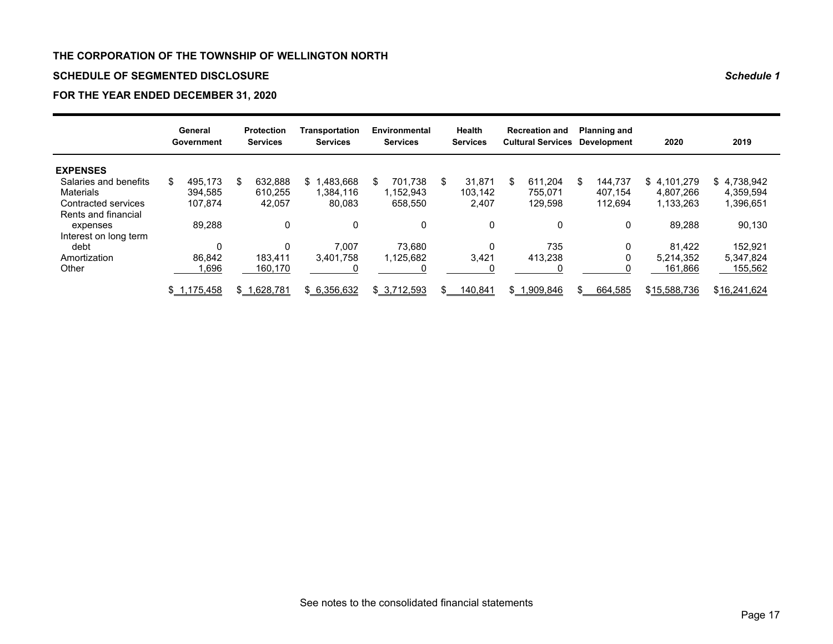## **SCHEDULE OF SEGMENTED DISCLOSURE** *Schedule 1*

## **FOR THE YEAR ENDED DECEMBER 31, 2020**

|                       |    | General<br>Government |     | <b>Protection</b><br><b>Services</b> | Transportation<br><b>Services</b> |     | Environmental<br><b>Services</b> |     | <b>Health</b><br><b>Services</b> |     | <b>Recreation and</b><br><b>Cultural Services Development</b> |     | <b>Planning and</b> | 2020         | 2019         |
|-----------------------|----|-----------------------|-----|--------------------------------------|-----------------------------------|-----|----------------------------------|-----|----------------------------------|-----|---------------------------------------------------------------|-----|---------------------|--------------|--------------|
| <b>EXPENSES</b>       |    |                       |     |                                      |                                   |     |                                  |     |                                  |     |                                                               |     |                     |              |              |
| Salaries and benefits | £. | 495.173               | \$. | 632.888                              | \$1.483.668                       | \$. | 701.738                          | \$  | 31.871                           | \$. | 611.204                                                       | \$  | 144.737             | \$4.101.279  | \$4.738.942  |
| <b>Materials</b>      |    | 394.585               |     | 610.255                              | 1.384.116                         |     | 1.152.943                        |     | 103.142                          |     | 755.071                                                       |     | 407.154             | 4.807.266    | 4,359,594    |
| Contracted services   |    | 107,874               |     | 42,057                               | 80,083                            |     | 658,550                          |     | 2,407                            |     | 129,598                                                       |     | 112.694             | 1,133,263    | 1,396,651    |
| Rents and financial   |    |                       |     |                                      |                                   |     |                                  |     |                                  |     |                                                               |     |                     |              |              |
| expenses              |    | 89,288                |     | 0                                    | 0                                 |     | 0                                |     | 0                                |     | 0                                                             |     | 0                   | 89,288       | 90,130       |
| Interest on long term |    |                       |     |                                      |                                   |     |                                  |     |                                  |     |                                                               |     |                     |              |              |
| debt                  |    |                       |     | 0                                    | 7.007                             |     | 73.680                           |     | $\Omega$                         |     | 735                                                           |     | 0                   | 81.422       | 152.921      |
| Amortization          |    | 86.842                |     | 183.411                              | 3.401.758                         |     | 1,125,682                        |     | 3.421                            |     | 413.238                                                       |     |                     | 5.214.352    | 5,347,824    |
| Other                 |    | .696                  |     | 160,170                              |                                   |     |                                  |     |                                  |     |                                                               |     |                     | 161,866      | 155,562      |
|                       |    | \$1,175,458           |     | \$1,628,781                          | \$6,356,632                       |     | \$3,712,593                      | \$. | 140,841                          | \$  | ,909,846                                                      | \$. | 664,585             | \$15,588,736 | \$16,241,624 |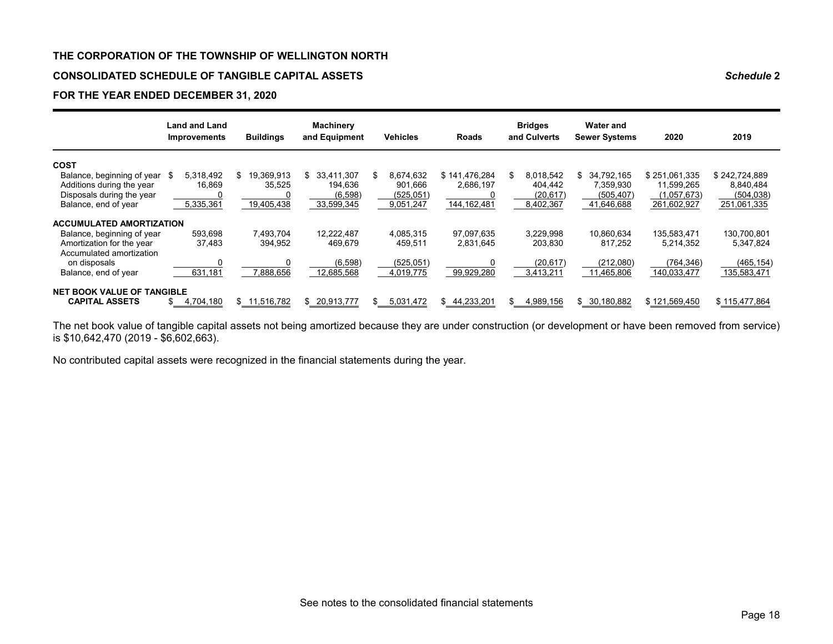#### **CONSOLIDATED SCHEDULE OF TANGIBLE CAPITAL ASSETS** *Schedule* **2**

## **FOR THE YEAR ENDED DECEMBER 31, 2020**

|                                   | <b>Land and Land</b><br><b>Improvements</b> | <b>Buildings</b> | <b>Machinery</b><br>and Equipment | <b>Vehicles</b>  | <b>Roads</b>      | <b>Bridges</b><br>and Culverts | Water and<br><b>Sewer Systems</b> | 2020          | 2019          |
|-----------------------------------|---------------------------------------------|------------------|-----------------------------------|------------------|-------------------|--------------------------------|-----------------------------------|---------------|---------------|
| <b>COST</b>                       |                                             |                  |                                   |                  |                   |                                |                                   |               |               |
| Balance, beginning of year        | 5,318,492<br>- \$                           | 19,369,913<br>\$ | \$33,411,307                      | 8,674,632<br>\$  | \$141,476,284     | \$<br>8,018,542                | 34,792,165<br>\$                  | \$251,061,335 | \$242,724,889 |
| Additions during the year         | 16,869                                      | 35,525           | 194,636                           | 901,666          | 2,686,197         | 404.442                        | 7,359,930                         | 11.599.265    | 8,840,484     |
| Disposals during the year         |                                             |                  | (6, 598)                          | (525, 051)       |                   | (20, 617)                      | (505, 407)                        | (1,057,673)   | (504, 038)    |
| Balance, end of year              | 5,335,361                                   | 19,405,438       | 33,599,345                        | 9,051,247        | 144, 162, 481     | 8,402,367                      | 41,646,688                        | 261,602,927   | 251,061,335   |
| <b>ACCUMULATED AMORTIZATION</b>   |                                             |                  |                                   |                  |                   |                                |                                   |               |               |
| Balance, beginning of year        | 593.698                                     | 7,493,704        | 12,222,487                        | 4,085,315        | 97,097,635        | 3,229,998                      | 10,860,634                        | 135,583,471   | 130,700,801   |
| Amortization for the year         | 37,483                                      | 394,952          | 469.679                           | 459,511          | 2.831.645         | 203,830                        | 817.252                           | 5,214,352     | 5,347,824     |
| Accumulated amortization          |                                             |                  |                                   |                  |                   |                                |                                   |               |               |
| on disposals                      |                                             |                  | (6, 598)                          | (525, 051)       |                   | (20, 617)                      | (212,080)                         | (764, 346)    | (465, 154)    |
| Balance, end of year              | 631,181                                     | 7,888,656        | 12,685,568                        | 4,019,775        | 99,929,280        | 3,413,211                      | 11,465,806                        | 140,033,477   | 135,583,471   |
| <b>NET BOOK VALUE OF TANGIBLE</b> |                                             |                  |                                   |                  |                   |                                |                                   |               |               |
| <b>CAPITAL ASSETS</b>             | 4,704,180<br>\$                             | 11,516,782<br>\$ | 20,913,777<br>\$                  | \$.<br>5.031.472 | 44,233,201<br>\$. | \$.<br>4,989,156               | 30.180.882                        | \$121,569,450 | \$115.477.864 |

The net book value of tangible capital assets not being amortized because they are under construction (or development or have been removed from service) is \$10,642,470 (2019 - \$6,602,663).

No contributed capital assets were recognized in the financial statements during the year.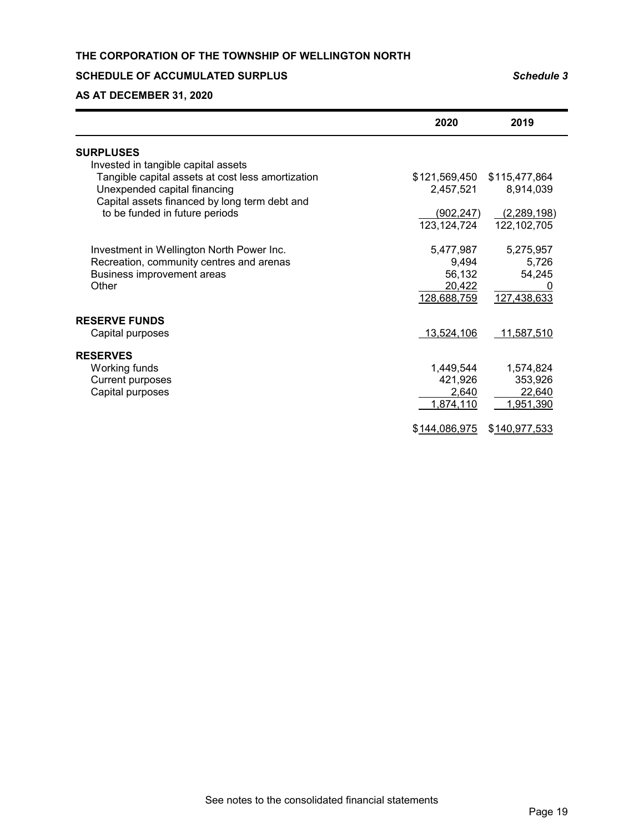## **SCHEDULE OF ACCUMULATED SURPLUS** *Schedule 3*

# **AS AT DECEMBER 31, 2020**

|                                                   | 2020          | 2019          |
|---------------------------------------------------|---------------|---------------|
| <b>SURPLUSES</b>                                  |               |               |
| Invested in tangible capital assets               |               |               |
| Tangible capital assets at cost less amortization | \$121,569,450 | \$115,477,864 |
| Unexpended capital financing                      | 2,457,521     | 8,914,039     |
| Capital assets financed by long term debt and     |               |               |
| to be funded in future periods                    | (902, 247)    | (2,289,198)   |
|                                                   | 123, 124, 724 | 122,102,705   |
| Investment in Wellington North Power Inc.         | 5,477,987     | 5,275,957     |
| Recreation, community centres and arenas          | 9,494         | 5,726         |
| Business improvement areas                        | 56,132        | 54,245        |
| Other                                             | 20,422        |               |
|                                                   | 128,688,759   | 127,438,633   |
|                                                   |               |               |
| <b>RESERVE FUNDS</b>                              |               |               |
| Capital purposes                                  | 13,524,106    | 11,587,510    |
| <b>RESERVES</b>                                   |               |               |
| Working funds                                     | 1,449,544     | 1,574,824     |
| <b>Current purposes</b>                           | 421,926       | 353,926       |
| Capital purposes                                  | 2,640         | 22,640        |
|                                                   | 1,874,110     | 1,951,390     |
|                                                   | \$144,086,975 | \$140,977,533 |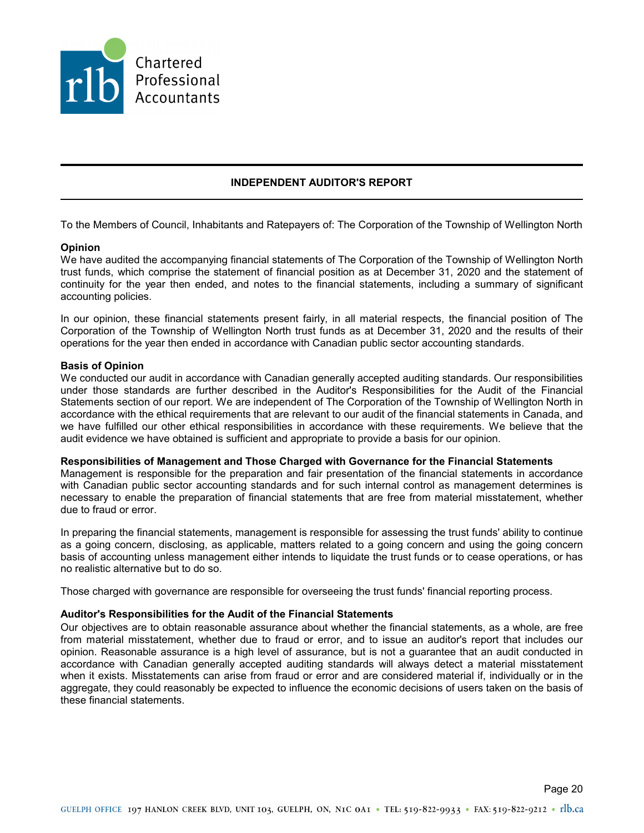

## **INDEPENDENT AUDITOR'S REPORT**

To the Members of Council, Inhabitants and Ratepayers of: The Corporation of the Township of Wellington North

#### **Opinion**

We have audited the accompanying financial statements of The Corporation of the Township of Wellington North trust funds, which comprise the statement of financial position as at December 31, 2020 and the statement of continuity for the year then ended, and notes to the financial statements, including a summary of significant accounting policies.

In our opinion, these financial statements present fairly, in all material respects, the financial position of The Corporation of the Township of Wellington North trust funds as at December 31, 2020 and the results of their operations for the year then ended in accordance with Canadian public sector accounting standards.

#### **Basis of Opinion**

We conducted our audit in accordance with Canadian generally accepted auditing standards. Our responsibilities under those standards are further described in the Auditor's Responsibilities for the Audit of the Financial Statements section of our report. We are independent of The Corporation of the Township of Wellington North in accordance with the ethical requirements that are relevant to our audit of the financial statements in Canada, and we have fulfilled our other ethical responsibilities in accordance with these requirements. We believe that the audit evidence we have obtained is sufficient and appropriate to provide a basis for our opinion.

#### **Responsibilities of Management and Those Charged with Governance for the Financial Statements**

Management is responsible for the preparation and fair presentation of the financial statements in accordance with Canadian public sector accounting standards and for such internal control as management determines is necessary to enable the preparation of financial statements that are free from material misstatement, whether due to fraud or error.

In preparing the financial statements, management is responsible for assessing the trust funds' ability to continue as a going concern, disclosing, as applicable, matters related to a going concern and using the going concern basis of accounting unless management either intends to liquidate the trust funds or to cease operations, or has no realistic alternative but to do so.

Those charged with governance are responsible for overseeing the trust funds' financial reporting process.

#### **Auditor's Responsibilities for the Audit of the Financial Statements**

Our objectives are to obtain reasonable assurance about whether the financial statements, as a whole, are free from material misstatement, whether due to fraud or error, and to issue an auditor's report that includes our opinion. Reasonable assurance is a high level of assurance, but is not a guarantee that an audit conducted in accordance with Canadian generally accepted auditing standards will always detect a material misstatement when it exists. Misstatements can arise from fraud or error and are considered material if, individually or in the aggregate, they could reasonably be expected to influence the economic decisions of users taken on the basis of these financial statements.

Page 20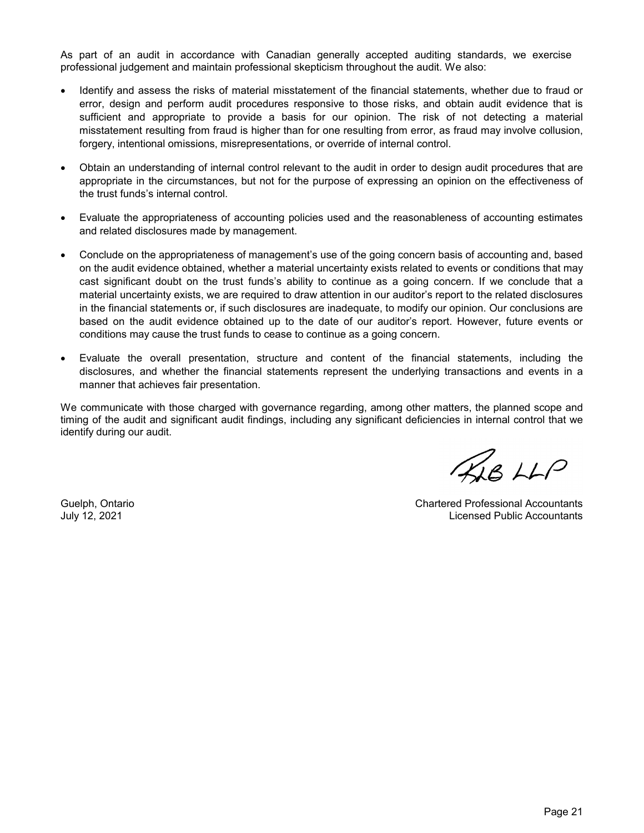As part of an audit in accordance with Canadian generally accepted auditing standards, we exercise professional judgement and maintain professional skepticism throughout the audit. We also:

- Identify and assess the risks of material misstatement of the financial statements, whether due to fraud or error, design and perform audit procedures responsive to those risks, and obtain audit evidence that is sufficient and appropriate to provide a basis for our opinion. The risk of not detecting a material misstatement resulting from fraud is higher than for one resulting from error, as fraud may involve collusion, forgery, intentional omissions, misrepresentations, or override of internal control.
- Obtain an understanding of internal control relevant to the audit in order to design audit procedures that are appropriate in the circumstances, but not for the purpose of expressing an opinion on the effectiveness of the trust funds's internal control.
- Evaluate the appropriateness of accounting policies used and the reasonableness of accounting estimates and related disclosures made by management.
- Conclude on the appropriateness of management's use of the going concern basis of accounting and, based on the audit evidence obtained, whether a material uncertainty exists related to events or conditions that may cast significant doubt on the trust funds's ability to continue as a going concern. If we conclude that a material uncertainty exists, we are required to draw attention in our auditor's report to the related disclosures in the financial statements or, if such disclosures are inadequate, to modify our opinion. Our conclusions are based on the audit evidence obtained up to the date of our auditor's report. However, future events or conditions may cause the trust funds to cease to continue as a going concern.
- Evaluate the overall presentation, structure and content of the financial statements, including the disclosures, and whether the financial statements represent the underlying transactions and events in a manner that achieves fair presentation.

We communicate with those charged with governance regarding, among other matters, the planned scope and timing of the audit and significant audit findings, including any significant deficiencies in internal control that we identify during our audit.

KAB LLP

Guelph, Ontario Chartered Professional Accountants July 12, 2021 Licensed Public Accountants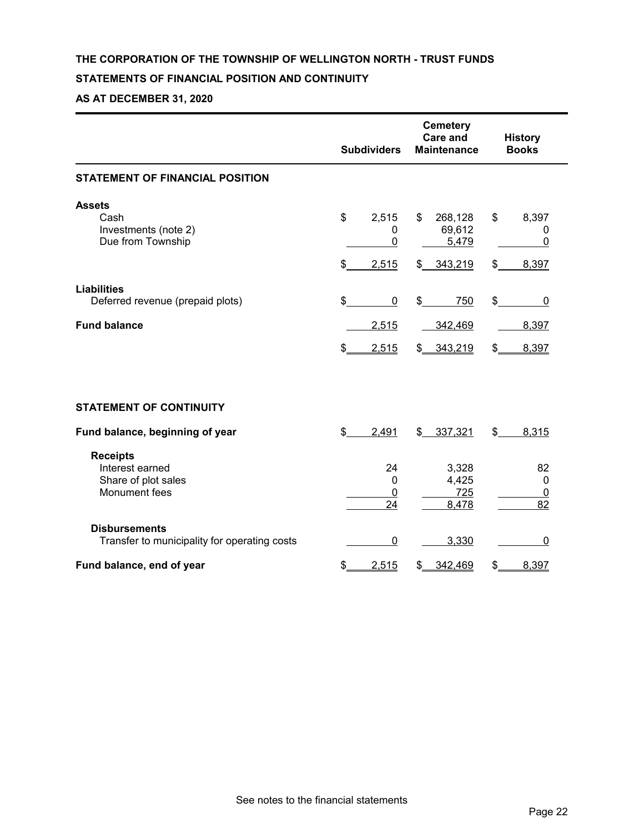# **THE CORPORATION OF THE TOWNSHIP OF WELLINGTON NORTH - TRUST FUNDS**

# **STATEMENTS OF FINANCIAL POSITION AND CONTINUITY**

**AS AT DECEMBER 31, 2020**

|                                                                      | <b>Subdividers</b> | <b>Cemetery</b><br><b>Care and</b><br><b>Maintenance</b> | <b>History</b><br><b>Books</b> |
|----------------------------------------------------------------------|--------------------|----------------------------------------------------------|--------------------------------|
| <b>STATEMENT OF FINANCIAL POSITION</b>                               |                    |                                                          |                                |
| <b>Assets</b>                                                        | \$                 | \$                                                       | \$                             |
| Cash                                                                 | 2,515              | 268,128                                                  | 8,397                          |
| Investments (note 2)                                                 | $\pmb{0}$          | 69,612                                                   | 0                              |
| Due from Township                                                    | 0                  | 5,479                                                    | 0                              |
|                                                                      | 2,515<br>\$        | \$ 343,219                                               | 8,397<br>\$                    |
| <b>Liabilities</b>                                                   | \$                 | $\frac{1}{2}$                                            | $\frac{1}{2}$                  |
| Deferred revenue (prepaid plots)                                     | 0                  | 750                                                      | 0                              |
| <b>Fund balance</b>                                                  | 2,515              | 342,469                                                  | 8,397                          |
|                                                                      | \$                 | 343,219                                                  | \$                             |
|                                                                      | 2,515              | \$                                                       | 8,397                          |
| <b>STATEMENT OF CONTINUITY</b>                                       |                    |                                                          |                                |
| Fund balance, beginning of year                                      | \$                 | 337,321                                                  | \$                             |
|                                                                      | 2,491              | \$                                                       | 8,315                          |
| <b>Receipts</b>                                                      | 24                 | 3,328                                                    | 82                             |
| Interest earned                                                      | $\mathbf 0$        | 4,425                                                    | $\mathbf 0$                    |
| Share of plot sales                                                  | $\mathbf 0$        | 725                                                      | 0                              |
| Monument fees                                                        | 24                 | 8,478                                                    | 82                             |
| <b>Disbursements</b><br>Transfer to municipality for operating costs | $\pmb{0}$          | 3,330                                                    | $\pmb{0}$                      |
| Fund balance, end of year                                            | 2,515              | 342,469                                                  | \$                             |
|                                                                      | \$                 | \$                                                       | 8,397                          |